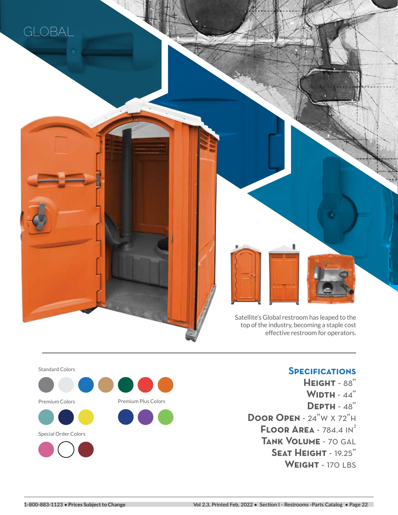

<u>and a strong of the strong strong strong strong strong strong strong strong strong strong strong strong strong strong strong strong strong strong strong strong strong strong strong strong strong strong strong strong stron</u>



Satellite's Global restroom has leaped to the top of the industry, becoming a staple cost effective restroom for operators.

Standard Colors Premium Colors Premium Plus Colors Special Order Colors

## **Specifications**

**Height** - 88" **Width** - 44" **Depth** - 48" **Door Open** - 24"w x 72"h **FLOOR AREA - 784.4 IN<sup>2</sup> Tank Volume** - 70 gal **Seat Height** - 19.25" WEIGHT - 170 LBS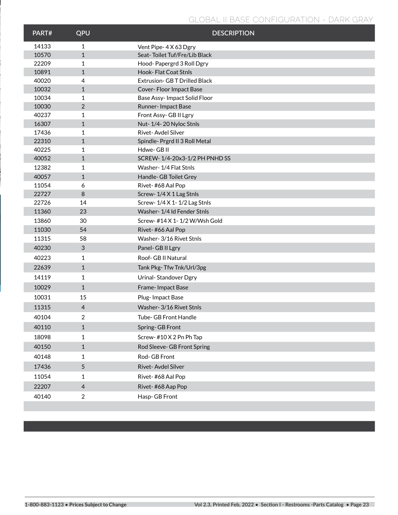## **GLOBAL II BASE CONFIGURATION - DARK GRAY**

| PART# | QPU            | <b>DESCRIPTION</b>                  |  |  |
|-------|----------------|-------------------------------------|--|--|
| 14133 | $\mathbf{1}$   | Vent Pipe- 4 X 63 Dgry              |  |  |
| 10570 | $\mathbf{1}$   | Seat-Toilet Tuf/Fre/Lib Black       |  |  |
| 22209 | $\mathbf{1}$   | Hood-Papergrd 3 Roll Dgry           |  |  |
| 10891 | $\mathbf{1}$   | Hook-Flat Coat Stnls                |  |  |
| 40020 | 4              | <b>Extrusion- GBT Drilled Black</b> |  |  |
| 10032 | $\mathbf{1}$   | Cover-Floor Impact Base             |  |  |
| 10034 | $\mathbf{1}$   | Base Assy-Impact Solid Floor        |  |  |
| 10030 | 2              | Runner-Impact Base                  |  |  |
| 40237 | 1              | Front Assy-GB II Lgry               |  |  |
| 16307 | $\mathbf{1}$   | Nut-1/4-20 Nyloc Stnls              |  |  |
| 17436 | 1              | Rivet-Avdel Silver                  |  |  |
| 22310 | $\mathbf{1}$   | Spindle- Prgrd II 3 Roll Metal      |  |  |
| 40225 | 1              | Hdwe-GBII                           |  |  |
| 40052 | $\mathbf{1}$   | SCREW-1/4-20x3-1/2 PH PNHD SS       |  |  |
| 12382 | 1              | Washer-1/4 Flat Stnls               |  |  |
| 40057 | $\mathbf{1}$   | Handle- GB Toilet Grey              |  |  |
| 11054 | 6              | Rivet-#68 Aal Pop                   |  |  |
| 22727 | 8              | Screw-1/4 X 1 Lag Stnls             |  |  |
| 22726 | 14             | Screw-1/4 X 1-1/2 Lag Stnls         |  |  |
| 11360 | 23             | Washer-1/4 Id Fender Stnls          |  |  |
| 13860 | 30             | Screw- #14 X 1-1/2 W/Wsh Gold       |  |  |
| 11030 | 54             | Rivet-#66 Aal Pop                   |  |  |
| 11315 | 58             | Washer- 3/16 Rivet Stnls            |  |  |
| 40230 | 3              | Panel- GB II Lgry                   |  |  |
| 40223 | 1              | Roof- GB II Natural                 |  |  |
| 22639 | $\mathbf{1}$   | Tank Pkg-Tfw Tnk/Url/3pg            |  |  |
| 14119 | 1              | Urinal-Standover Dgry               |  |  |
| 10029 | $\mathbf{1}$   | Frame-Impact Base                   |  |  |
| 10031 | 15             | Plug-Impact Base                    |  |  |
| 11315 | $\overline{4}$ | Washer- 3/16 Rivet Stnls            |  |  |
| 40104 | $\mathfrak{p}$ | <b>Tube- GB Front Handle</b>        |  |  |
| 40110 | $\mathbf{1}$   | Spring-GB Front                     |  |  |
| 18098 | $\mathbf{1}$   | Screw-#10 X 2 Pn Ph Tap             |  |  |
| 40150 | $\mathbf{1}$   | Rod Sleeve- GB Front Spring         |  |  |
| 40148 | 1              | Rod-GB Front                        |  |  |
| 17436 | $\overline{5}$ | Rivet-Avdel Silver                  |  |  |
| 11054 | $\mathbf{1}$   | Rivet-#68 Aal Pop                   |  |  |
| 22207 | $\overline{4}$ | Rivet-#68 Aap Pop                   |  |  |
| 40140 | $\overline{c}$ | Hasp-GB Front                       |  |  |
|       |                |                                     |  |  |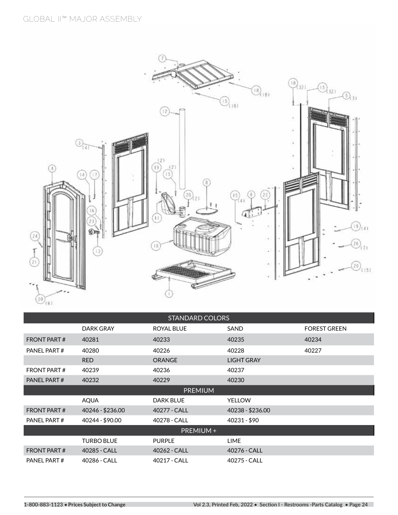

| <b>STANDARD COLORS</b> |                                                 |                   |                   |                     |  |
|------------------------|-------------------------------------------------|-------------------|-------------------|---------------------|--|
|                        | <b>DARK GRAY</b>                                | <b>ROYAL BLUE</b> | SAND              | <b>FOREST GREEN</b> |  |
| <b>FRONT PART#</b>     | 40281                                           | 40233             | 40235             | 40234               |  |
| PANEL PART#            | 40280                                           | 40226             | 40228             | 40227               |  |
|                        | <b>RED</b>                                      | <b>ORANGE</b>     | <b>LIGHT GRAY</b> |                     |  |
| <b>FRONT PART#</b>     | 40239                                           | 40236             | 40237             |                     |  |
| PANEL PART#            | 40232                                           | 40229             | 40230             |                     |  |
| <b>PREMIUM</b>         |                                                 |                   |                   |                     |  |
|                        | <b>AQUA</b>                                     | <b>DARK BLUE</b>  | <b>YELLOW</b>     |                     |  |
| <b>FRONT PART#</b>     | 40246 - \$236.00                                | 40277 - CALL      | 40238 - \$236.00  |                     |  |
| PANEL PART#            | 40231 - \$90<br>40244 - \$90.00<br>40278 - CALL |                   |                   |                     |  |
| PREMIUM +              |                                                 |                   |                   |                     |  |
|                        | <b>TURBO BLUE</b>                               | <b>PURPLE</b>     | LIME              |                     |  |
| <b>FRONT PART#</b>     | 40285 - CALL                                    | 40262 - CALL      | 40276 - CALL      |                     |  |
| PANEL PART#            | 40286 - CALL                                    | 40217 - CALL      | 40275 - CALL      |                     |  |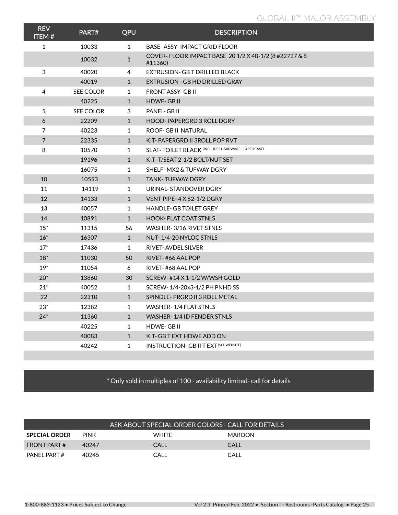| <b>REV</b><br><b>ITEM#</b> | PART#            | QPU          | <b>DESCRIPTION</b>                                               |
|----------------------------|------------------|--------------|------------------------------------------------------------------|
| $\mathbf{1}$               | 10033            | $\mathbf{1}$ | BASE-ASSY-IMPACT GRID FLOOR                                      |
|                            | 10032            | $\mathbf{1}$ | COVER-FLOOR IMPACT BASE 20 1/2 X 40-1/2 (8 #22727 & 8<br>#11360) |
| 3                          | 40020            | 4            | EXTRUSION- GB T DRILLED BLACK                                    |
|                            | 40019            | $\mathbf{1}$ | EXTRUSION - GB HD DRILLED GRAY                                   |
| 4                          | <b>SEE COLOR</b> | $\mathbf{1}$ | <b>FRONT ASSY-GB II</b>                                          |
|                            | 40225            | $\mathbf{1}$ | <b>HDWE-GBII</b>                                                 |
| 5                          | <b>SEE COLOR</b> | 3            | PANEL- GB II                                                     |
| 6                          | 22209            | $\mathbf{1}$ | <b>HOOD-PAPERGRD 3 ROLL DGRY</b>                                 |
| $\overline{7}$             | 40223            | 1            | ROOF- GB II NATURAL                                              |
| $\overline{7}$             | 22335            | $\mathbf{1}$ | KIT-PAPERGRD II 3ROLL POP RVT                                    |
| 8                          | 10570            | $\mathbf{1}$ | <b>SEAT-TOILET BLACK (INCLUDES HARDWARE - 10 PER CASE)</b>       |
|                            | 19196            | $\mathbf{1}$ | KIT-T/SEAT 2-1/2 BOLT/NUT SET                                    |
|                            | 16075            | $\mathbf{1}$ | SHELF- MX2 & TUFWAY DGRY                                         |
| 10                         | 10553            | $\mathbf{1}$ | <b>TANK-TUFWAY DGRY</b>                                          |
| 11                         | 14119            | $\mathbf{1}$ | URINAL-STANDOVER DGRY                                            |
| 12                         | 14133            | $\mathbf{1}$ | VENT PIPE-4X 62-1/2 DGRY                                         |
| 13                         | 40057            | $\mathbf{1}$ | <b>HANDLE-GB TOILET GREY</b>                                     |
| 14                         | 10891            | 1            | <b>HOOK-FLAT COAT STNLS</b>                                      |
| $15*$                      | 11315            | 56           | WASHER-3/16 RIVET STNLS                                          |
| $16*$                      | 16307            | $\mathbf{1}$ | NUT-1/4-20 NYLOC STNLS                                           |
| $17*$                      | 17436            | $\mathbf{1}$ | <b>RIVET-AVDEL SILVER</b>                                        |
| $18*$                      | 11030            | 50           | RIVET-#66 AAL POP                                                |
| $19*$                      | 11054            | 6            | RIVET-#68 AAL POP                                                |
| $20*$                      | 13860            | 30           | SCREW-#14 X 1-1/2 W/WSH GOLD                                     |
| $21*$                      | 40052            | $\mathbf{1}$ | SCREW-1/4-20x3-1/2 PH PNHD SS                                    |
| 22                         | 22310            | $\mathbf{1}$ | SPINDLE-PRGRD II 3 ROLL METAL                                    |
| $23*$                      | 12382            | 1            | WASHER-1/4 FLAT STNLS                                            |
| $24*$                      | 11360            | $\mathbf{1}$ | WASHER-1/4 ID FENDER STNLS                                       |
|                            | 40225            | $\mathbf{1}$ | <b>HDWE-GBII</b>                                                 |
|                            | 40083            | $\mathbf{1}$ | KIT- GB T EXT HDWE ADD ON                                        |
|                            | 40242            | 1            | <b>INSTRUCTION- GB II T EXT (SEE WEBSITE)</b>                    |
|                            |                  |              |                                                                  |

## \* Only sold in multiples of 100 - availability limited- call for details

|                      |             | ASK ABOUT SPECIAL ORDER COLORS - CALL FOR DETAILS |               |  |
|----------------------|-------------|---------------------------------------------------|---------------|--|
| <b>SPECIAL ORDER</b> | <b>PINK</b> | <b>WHITE</b>                                      | <b>MAROON</b> |  |
| <b>FRONT PART #</b>  | 40247       | CALL                                              | CALL          |  |
| PANFI PART#          | 40245       | CALL                                              | CALL          |  |